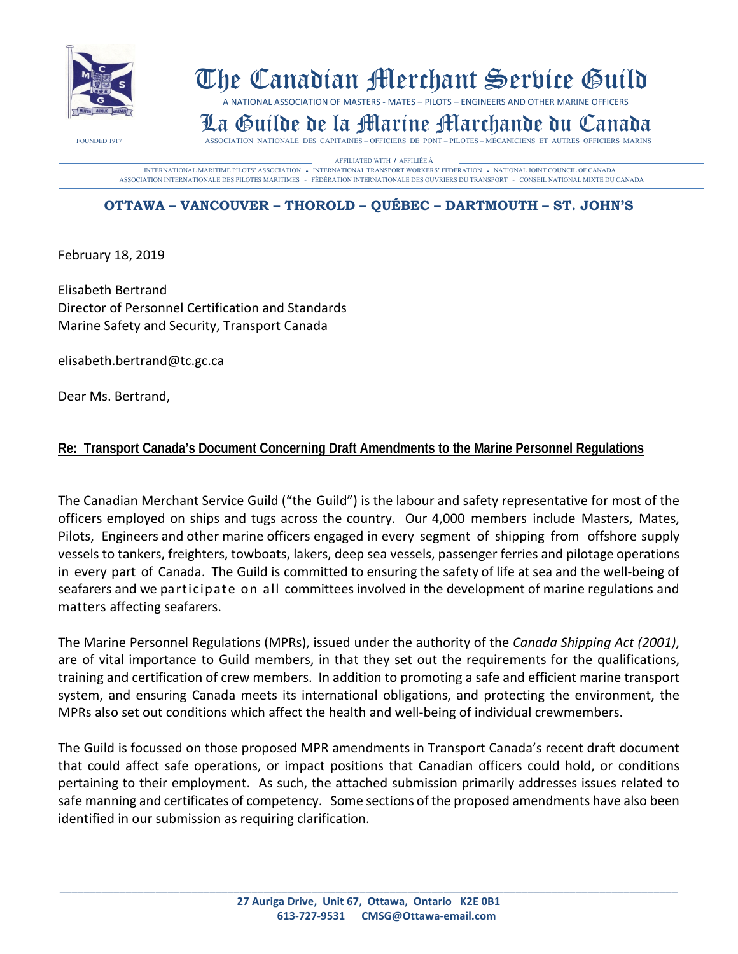

# The Canadian Merchant Service Guild

A NATIONAL ASSOCIATION OF MASTERS - MATES – PILOTS – ENGINEERS AND OTHER MARINE OFFICERS

# **La Guilde de la Martíne Marchande Du Canada** FOUNDED 1917 ASSOCIATION NATIONALE DES CAPITAINES – OFFICIERS DE PONT – PILOTES – MÉCANICIENS ET AUTRES OFFICIERS MARINS

AFFILIATED WITH / AFFILIÉE À<br>INTERNATIONAL MARITIME PILOTS' ASSOCIATION – INTERNATIONAL TRANSPORT WORKERS' FEDERATION – NATIONAL JOINT COUNCIL OF CANADA<br>ASSOCIATION INTERNATIONALE DES PILOTES MARITIMES – FÈDÉRATION INTERNA

# **OTTAWA – VANCOUVER – THOROLD – QUÉBEC – DARTMOUTH – ST. JOHN'S**

February 18, 2019

Elisabeth Bertrand Director of Personnel Certification and Standards Marine Safety and Security, Transport Canada

[elisabeth.bertrand@tc.gc.ca](mailto:elisabeth.bertrand@tc.gc.ca)

Dear Ms. Bertrand,

### **Re: Transport Canada's Document Concerning Draft Amendments to the Marine Personnel Regulations**

The Canadian Merchant Service Guild ("the Guild") is the labour and safety representative for most of the officers employed on ships and tugs across the country. Our 4,000 members include Masters, Mates, Pilots, Engineers and other marine officers engaged in every segment of shipping from offshore supply vessels to tankers, freighters, towboats, lakers, deep sea vessels, passenger ferries and pilotage operations in every part of Canada. The Guild is committed to ensuring the safety of life at sea and the well-being of seafarers and we participate on all committees involved in the development of marine regulations and matters affecting seafarers.

The Marine Personnel Regulations (MPRs), issued under the authority of the *Canada Shipping Act (2001)*, are of vital importance to Guild members, in that they set out the requirements for the qualifications, training and certification of crew members. In addition to promoting a safe and efficient marine transport system, and ensuring Canada meets its international obligations, and protecting the environment, the MPRs also set out conditions which affect the health and well-being of individual crewmembers.

The Guild is focussed on those proposed MPR amendments in Transport Canada's recent draft document that could affect safe operations, or impact positions that Canadian officers could hold, or conditions pertaining to their employment. As such, the attached submission primarily addresses issues related to safe manning and certificates of competency. Some sections of the proposed amendments have also been identified in our submission as requiring clarification.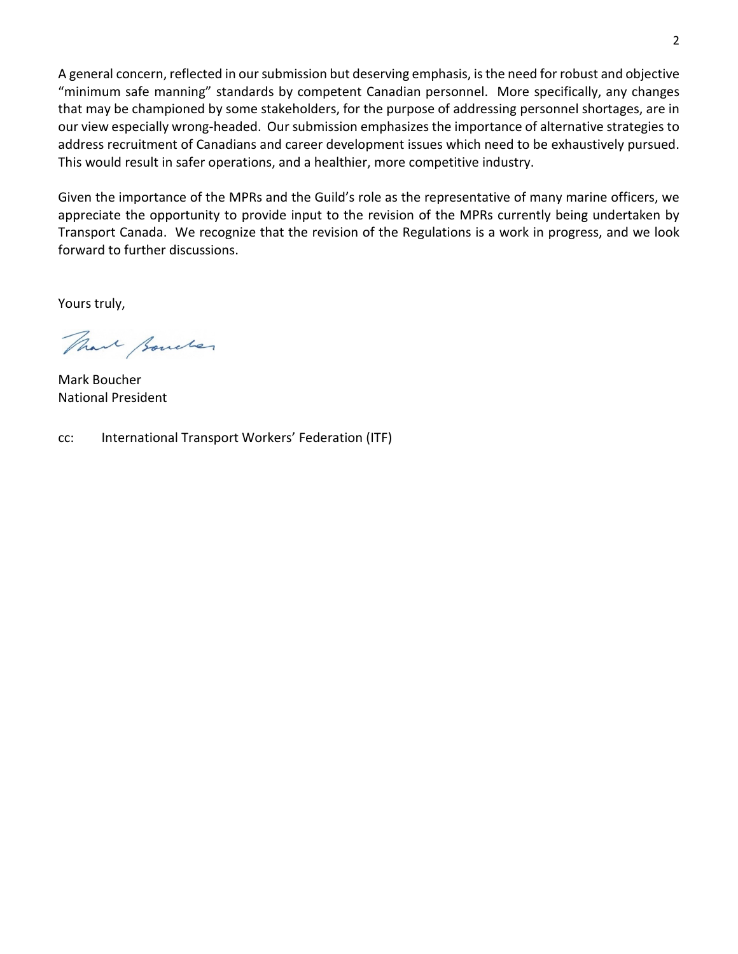A general concern, reflected in our submission but deserving emphasis, is the need for robust and objective "minimum safe manning" standards by competent Canadian personnel. More specifically, any changes that may be championed by some stakeholders, for the purpose of addressing personnel shortages, are in our view especially wrong-headed. Our submission emphasizes the importance of alternative strategies to address recruitment of Canadians and career development issues which need to be exhaustively pursued. This would result in safer operations, and a healthier, more competitive industry.

Given the importance of the MPRs and the Guild's role as the representative of many marine officers, we appreciate the opportunity to provide input to the revision of the MPRs currently being undertaken by Transport Canada. We recognize that the revision of the Regulations is a work in progress, and we look forward to further discussions.

Yours truly,

That Boucher

Mark Boucher National President

cc: International Transport Workers' Federation (ITF)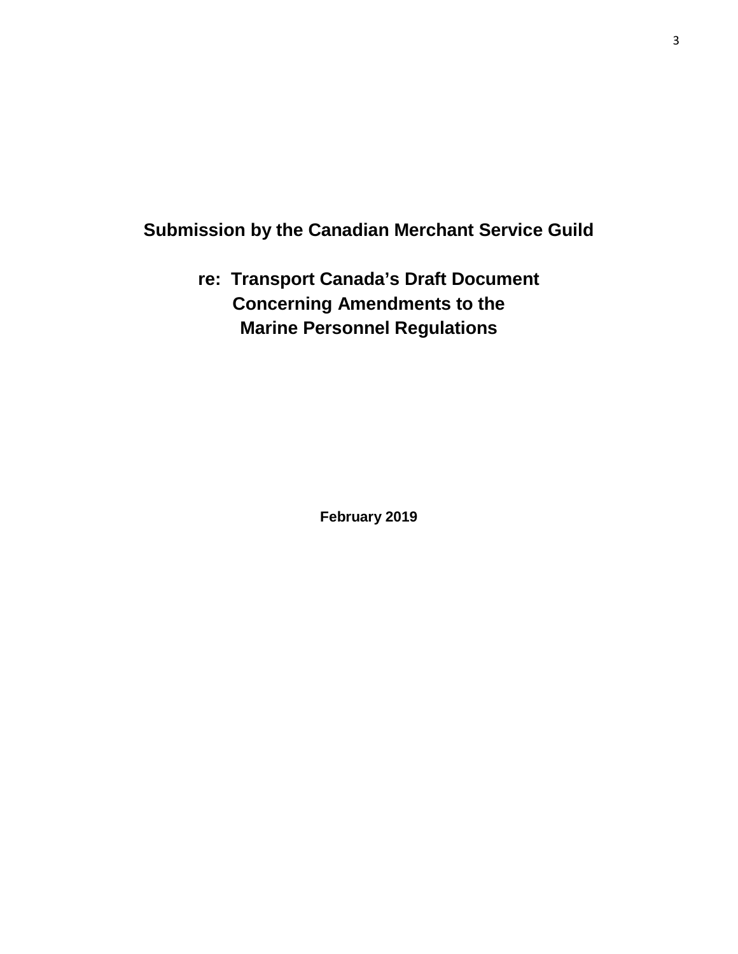# **Submission by the Canadian Merchant Service Guild**

**re: Transport Canada's Draft Document Concerning Amendments to the Marine Personnel Regulations**

**February 2019**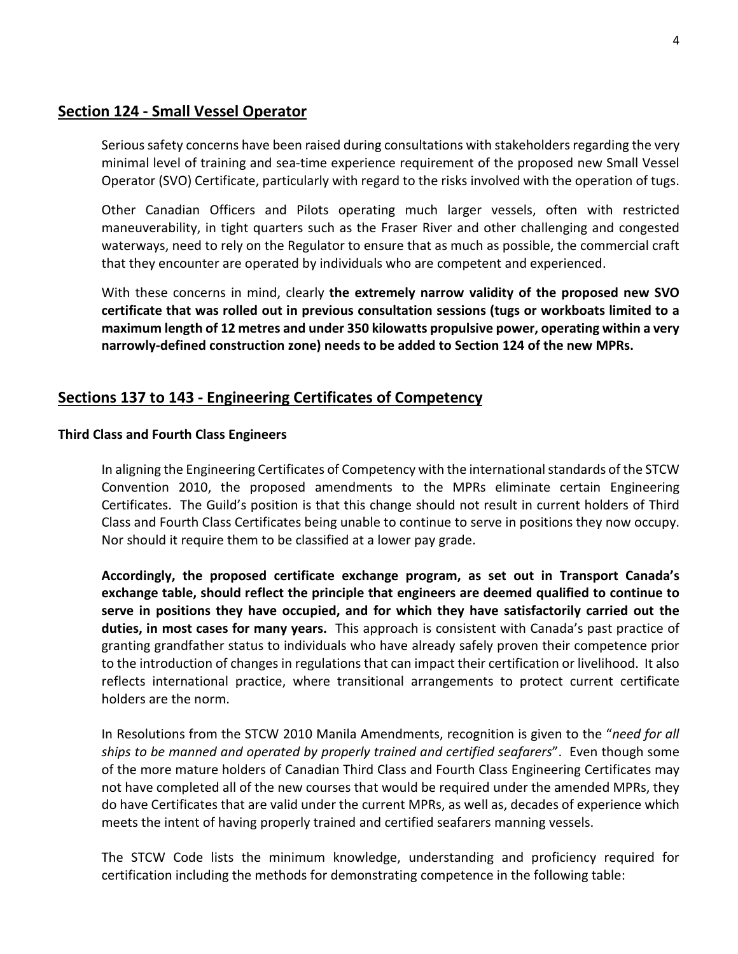#### **Section 124 - Small Vessel Operator**

Serious safety concerns have been raised during consultations with stakeholders regarding the very minimal level of training and sea-time experience requirement of the proposed new Small Vessel Operator (SVO) Certificate, particularly with regard to the risks involved with the operation of tugs.

Other Canadian Officers and Pilots operating much larger vessels, often with restricted maneuverability, in tight quarters such as the Fraser River and other challenging and congested waterways, need to rely on the Regulator to ensure that as much as possible, the commercial craft that they encounter are operated by individuals who are competent and experienced.

With these concerns in mind, clearly **the extremely narrow validity of the proposed new SVO certificate that was rolled out in previous consultation sessions (tugs or workboats limited to a maximum length of 12 metres and under 350 kilowatts propulsive power, operating within a very narrowly-defined construction zone) needs to be added to Section 124 of the new MPRs.**

# **Sections 137 to 143 - Engineering Certificates of Competency**

#### **Third Class and Fourth Class Engineers**

In aligning the Engineering Certificates of Competency with the international standards of the STCW Convention 2010, the proposed amendments to the MPRs eliminate certain Engineering Certificates. The Guild's position is that this change should not result in current holders of Third Class and Fourth Class Certificates being unable to continue to serve in positions they now occupy. Nor should it require them to be classified at a lower pay grade.

**Accordingly, the proposed certificate exchange program, as set out in Transport Canada's exchange table, should reflect the principle that engineers are deemed qualified to continue to serve in positions they have occupied, and for which they have satisfactorily carried out the duties, in most cases for many years.** This approach is consistent with Canada's past practice of granting grandfather status to individuals who have already safely proven their competence prior to the introduction of changes in regulations that can impact their certification or livelihood. It also reflects international practice, where transitional arrangements to protect current certificate holders are the norm.

In Resolutions from the STCW 2010 Manila Amendments, recognition is given to the "*need for all ships to be manned and operated by properly trained and certified seafarers*". Even though some of the more mature holders of Canadian Third Class and Fourth Class Engineering Certificates may not have completed all of the new courses that would be required under the amended MPRs, they do have Certificates that are valid under the current MPRs, as well as, decades of experience which meets the intent of having properly trained and certified seafarers manning vessels.

The STCW Code lists the minimum knowledge, understanding and proficiency required for certification including the methods for demonstrating competence in the following table: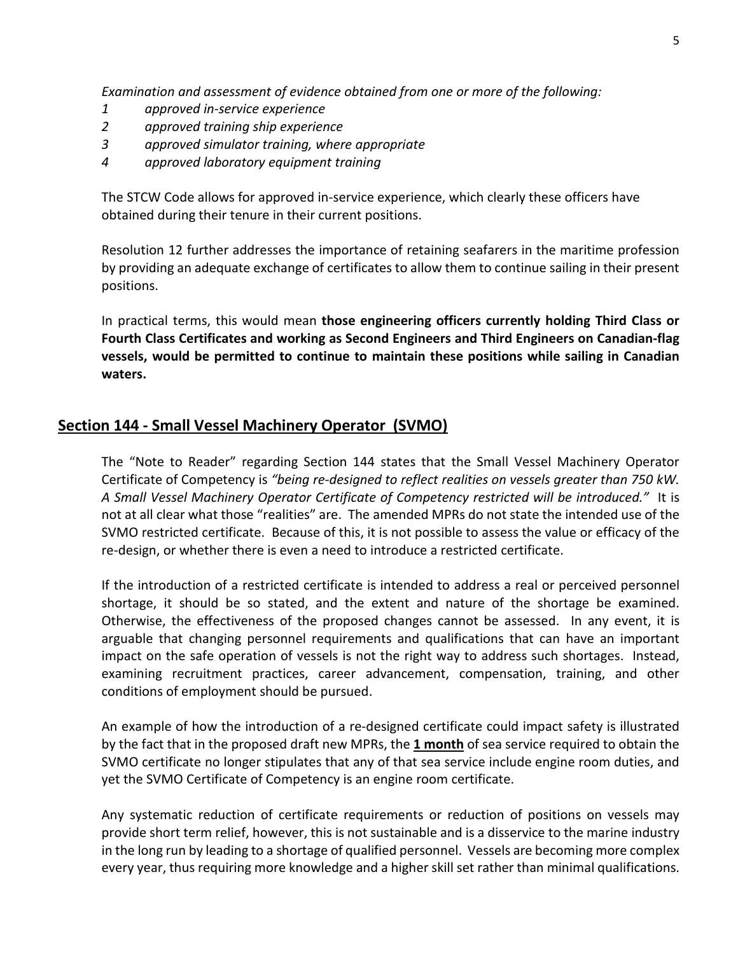*Examination and assessment of evidence obtained from one or more of the following:*

- *1 approved in-service experience*
- *2 approved training ship experience*
- *3 approved simulator training, where appropriate*
- *4 approved laboratory equipment training*

The STCW Code allows for approved in-service experience, which clearly these officers have obtained during their tenure in their current positions.

Resolution 12 further addresses the importance of retaining seafarers in the maritime profession by providing an adequate exchange of certificates to allow them to continue sailing in their present positions.

In practical terms, this would mean **those engineering officers currently holding Third Class or Fourth Class Certificates and working as Second Engineers and Third Engineers on Canadian-flag vessels, would be permitted to continue to maintain these positions while sailing in Canadian waters.** 

#### **Section 144 - Small Vessel Machinery Operator (SVMO)**

The "Note to Reader" regarding Section 144 states that the Small Vessel Machinery Operator Certificate of Competency is *"being re-designed to reflect realities on vessels greater than 750 kW. A Small Vessel Machinery Operator Certificate of Competency restricted will be introduced."* It is not at all clear what those "realities" are. The amended MPRs do not state the intended use of the SVMO restricted certificate. Because of this, it is not possible to assess the value or efficacy of the re-design, or whether there is even a need to introduce a restricted certificate.

If the introduction of a restricted certificate is intended to address a real or perceived personnel shortage, it should be so stated, and the extent and nature of the shortage be examined. Otherwise, the effectiveness of the proposed changes cannot be assessed. In any event, it is arguable that changing personnel requirements and qualifications that can have an important impact on the safe operation of vessels is not the right way to address such shortages. Instead, examining recruitment practices, career advancement, compensation, training, and other conditions of employment should be pursued.

An example of how the introduction of a re-designed certificate could impact safety is illustrated by the fact that in the proposed draft new MPRs, the **1 month** of sea service required to obtain the SVMO certificate no longer stipulates that any of that sea service include engine room duties, and yet the SVMO Certificate of Competency is an engine room certificate.

Any systematic reduction of certificate requirements or reduction of positions on vessels may provide short term relief, however, this is not sustainable and is a disservice to the marine industry in the long run by leading to a shortage of qualified personnel. Vessels are becoming more complex every year, thus requiring more knowledge and a higher skill set rather than minimal qualifications.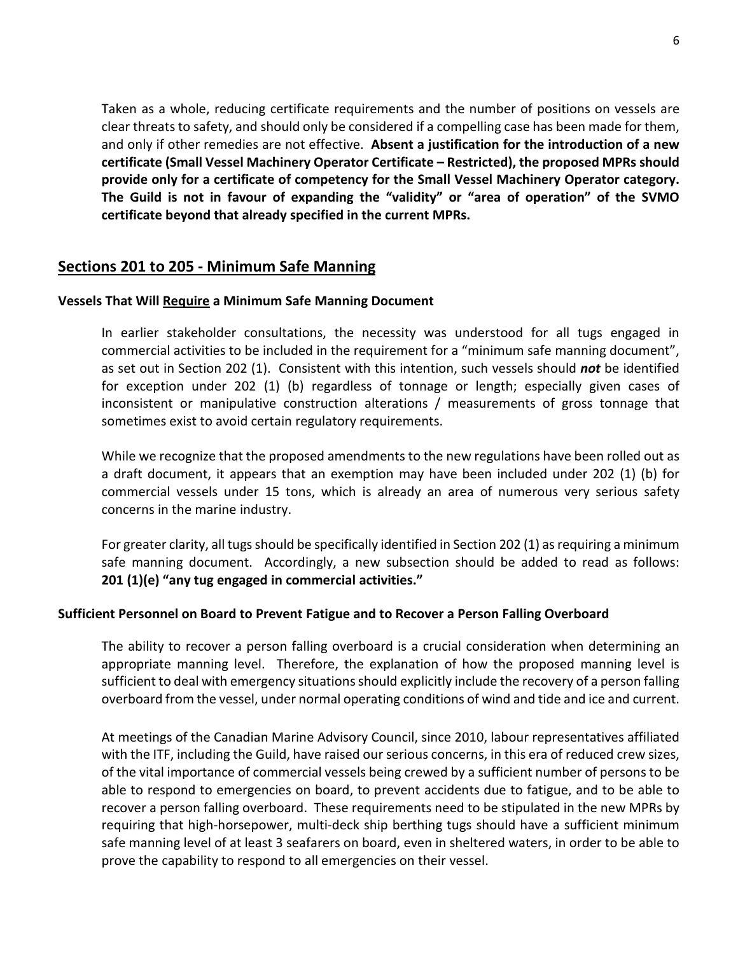Taken as a whole, reducing certificate requirements and the number of positions on vessels are clear threats to safety, and should only be considered if a compelling case has been made for them, and only if other remedies are not effective. **Absent a justification for the introduction of a new certificate (Small Vessel Machinery Operator Certificate – Restricted), the proposed MPRs should provide only for a certificate of competency for the Small Vessel Machinery Operator category. The Guild is not in favour of expanding the "validity" or "area of operation" of the SVMO certificate beyond that already specified in the current MPRs.**

### **Sections 201 to 205 - Minimum Safe Manning**

#### **Vessels That Will Require a Minimum Safe Manning Document**

In earlier stakeholder consultations, the necessity was understood for all tugs engaged in commercial activities to be included in the requirement for a "minimum safe manning document", as set out in Section 202 (1). Consistent with this intention, such vessels should *not* be identified for exception under 202 (1) (b) regardless of tonnage or length; especially given cases of inconsistent or manipulative construction alterations / measurements of gross tonnage that sometimes exist to avoid certain regulatory requirements.

While we recognize that the proposed amendments to the new regulations have been rolled out as a draft document, it appears that an exemption may have been included under 202 (1) (b) for commercial vessels under 15 tons, which is already an area of numerous very serious safety concerns in the marine industry.

For greater clarity, all tugs should be specifically identified in Section 202 (1) as requiring a minimum safe manning document. Accordingly, a new subsection should be added to read as follows: **201 (1)(e) "any tug engaged in commercial activities."**

#### **Sufficient Personnel on Board to Prevent Fatigue and to Recover a Person Falling Overboard**

The ability to recover a person falling overboard is a crucial consideration when determining an appropriate manning level. Therefore, the explanation of how the proposed manning level is sufficient to deal with emergency situations should explicitly include the recovery of a person falling overboard from the vessel, under normal operating conditions of wind and tide and ice and current.

At meetings of the Canadian Marine Advisory Council, since 2010, labour representatives affiliated with the ITF, including the Guild, have raised our serious concerns, in this era of reduced crew sizes, of the vital importance of commercial vessels being crewed by a sufficient number of persons to be able to respond to emergencies on board, to prevent accidents due to fatigue, and to be able to recover a person falling overboard. These requirements need to be stipulated in the new MPRs by requiring that high-horsepower, multi-deck ship berthing tugs should have a sufficient minimum safe manning level of at least 3 seafarers on board, even in sheltered waters, in order to be able to prove the capability to respond to all emergencies on their vessel.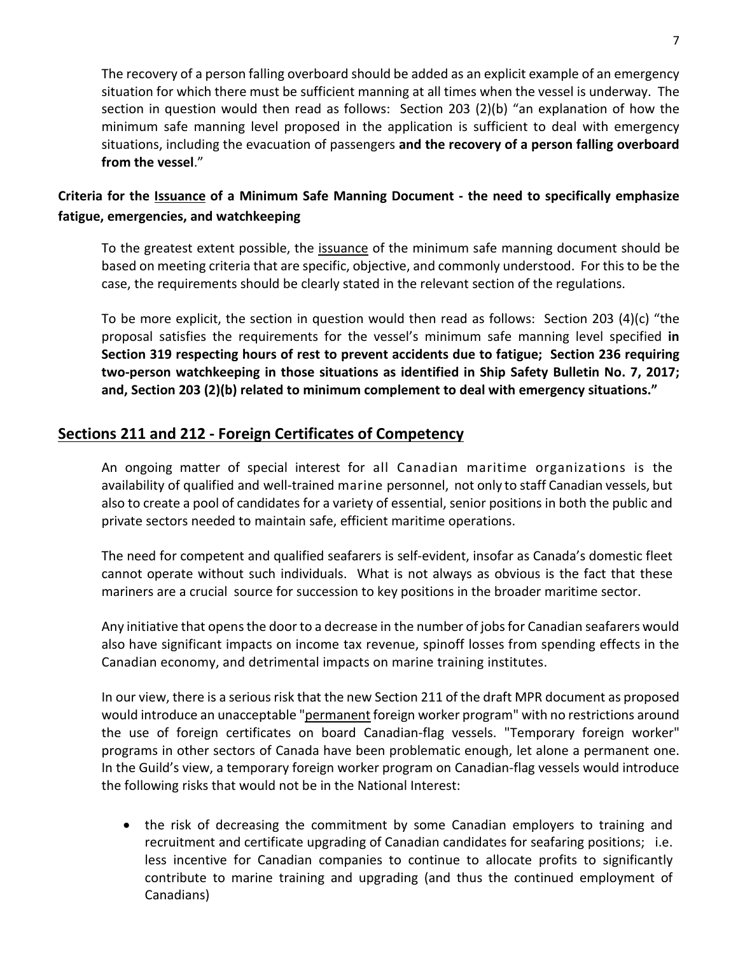The recovery of a person falling overboard should be added as an explicit example of an emergency situation for which there must be sufficient manning at all times when the vessel is underway. The section in question would then read as follows: Section 203 (2)(b) "an explanation of how the minimum safe manning level proposed in the application is sufficient to deal with emergency situations, including the evacuation of passengers **and the recovery of a person falling overboard from the vessel**."

# **Criteria for the Issuance of a Minimum Safe Manning Document - the need to specifically emphasize fatigue, emergencies, and watchkeeping**

To the greatest extent possible, the *issuance* of the minimum safe manning document should be based on meeting criteria that are specific, objective, and commonly understood. For this to be the case, the requirements should be clearly stated in the relevant section of the regulations.

To be more explicit, the section in question would then read as follows: Section 203 (4)(c) "the proposal satisfies the requirements for the vessel's minimum safe manning level specified **in Section 319 respecting hours of rest to prevent accidents due to fatigue; Section 236 requiring two-person watchkeeping in those situations as identified in Ship Safety Bulletin No. 7, 2017; and, Section 203 (2)(b) related to minimum complement to deal with emergency situations."**

# **Sections 211 and 212 - Foreign Certificates of Competency**

An ongoing matter of special interest for all Canadian maritime organizations is the availability of qualified and well-trained marine personnel, not only to staff Canadian vessels, but also to create a pool of candidates for a variety of essential, senior positions in both the public and private sectors needed to maintain safe, efficient maritime operations.

The need for competent and qualified seafarers is self-evident, insofar as Canada's domestic fleet cannot operate without such individuals. What is not always as obvious is the fact that these mariners are a crucial source for succession to key positions in the broader maritime sector.

Any initiative that opens the door to a decrease in the number of jobs for Canadian seafarers would also have significant impacts on income tax revenue, spinoff losses from spending effects in the Canadian economy, and detrimental impacts on marine training institutes.

In our view, there is a serious risk that the new Section 211 of the draft MPR document as proposed would introduce an unacceptable "permanent foreign worker program" with no restrictions around the use of foreign certificates on board Canadian-flag vessels. "Temporary foreign worker" programs in other sectors of Canada have been problematic enough, let alone a permanent one. In the Guild's view, a temporary foreign worker program on Canadian-flag vessels would introduce the following risks that would not be in the National Interest:

• the risk of decreasing the commitment by some Canadian employers to training and recruitment and certificate upgrading of Canadian candidates for seafaring positions; i.e. less incentive for Canadian companies to continue to allocate profits to significantly contribute to marine training and upgrading (and thus the continued employment of Canadians)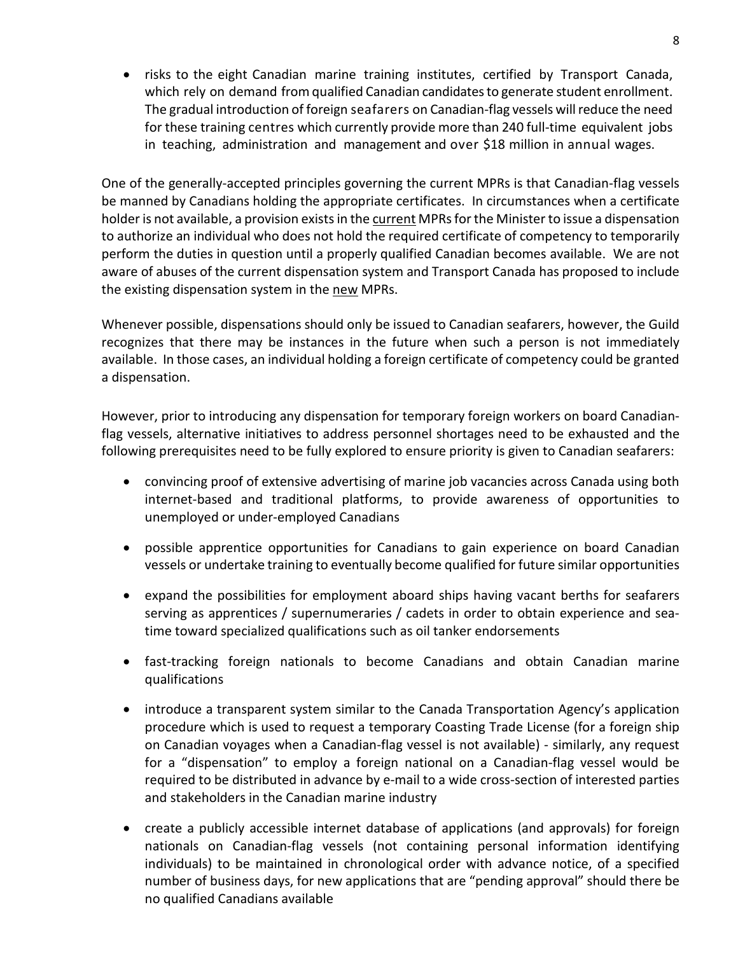• risks to the eight Canadian marine training institutes, certified by Transport Canada, which rely on demand from qualified Canadian candidates to generate student enrollment. The gradual introduction of foreign seafarers on Canadian-flag vessels will reduce the need for these training centres which currently provide more than 240 full-time equivalent jobs in teaching, administration and management and over \$18 million in annual wages.

One of the generally-accepted principles governing the current MPRs is that Canadian-flag vessels be manned by Canadians holding the appropriate certificates. In circumstances when a certificate holder is not available, a provision exists in the current MPRs for the Minister to issue a dispensation to authorize an individual who does not hold the required certificate of competency to temporarily perform the duties in question until a properly qualified Canadian becomes available. We are not aware of abuses of the current dispensation system and Transport Canada has proposed to include the existing dispensation system in the new MPRs.

Whenever possible, dispensations should only be issued to Canadian seafarers, however, the Guild recognizes that there may be instances in the future when such a person is not immediately available. In those cases, an individual holding a foreign certificate of competency could be granted a dispensation.

However, prior to introducing any dispensation for temporary foreign workers on board Canadianflag vessels, alternative initiatives to address personnel shortages need to be exhausted and the following prerequisites need to be fully explored to ensure priority is given to Canadian seafarers:

- convincing proof of extensive advertising of marine job vacancies across Canada using both internet-based and traditional platforms, to provide awareness of opportunities to unemployed or under-employed Canadians
- possible apprentice opportunities for Canadians to gain experience on board Canadian vessels or undertake training to eventually become qualified for future similar opportunities
- expand the possibilities for employment aboard ships having vacant berths for seafarers serving as apprentices / supernumeraries / cadets in order to obtain experience and seatime toward specialized qualifications such as oil tanker endorsements
- fast-tracking foreign nationals to become Canadians and obtain Canadian marine qualifications
- introduce a transparent system similar to the Canada Transportation Agency's application procedure which is used to request a temporary Coasting Trade License (for a foreign ship on Canadian voyages when a Canadian-flag vessel is not available) - similarly, any request for a "dispensation" to employ a foreign national on a Canadian-flag vessel would be required to be distributed in advance by e-mail to a wide cross-section of interested parties and stakeholders in the Canadian marine industry
- create a publicly accessible internet database of applications (and approvals) for foreign nationals on Canadian-flag vessels (not containing personal information identifying individuals) to be maintained in chronological order with advance notice, of a specified number of business days, for new applications that are "pending approval" should there be no qualified Canadians available